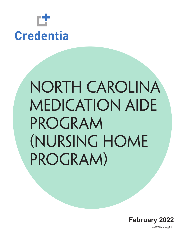

# NORTH CAROLINA **MEDICATION AIDE** PROGRAM (NURSING HOME PROGRAM)



verNCMAnursing1.0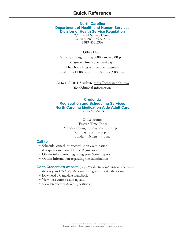# **Quick Reference**

## **North Carolina Department of Health and Human Services Division of Health Service Regulation**

2709 Mail Service Center Raleigh, NC 27699-2709 1-919-855-3969

Office Hours

Monday through Friday 8:00 a.m. – 5:00 p.m. (Eastern Time Zone, weekdays) The phone lines will be open between 8:00 am - 12:00 p.m. and 1:00pm - 3:00 p.m.

Go to NC DHHS website https://ncnar.ncdhhs.gov/ for additional information

### **Credentia Registration and Scheduling Services North Carolina Medication Aide Adult Care** 1-888-723-6773

Office Hours: (Eastern Time Zone) Monday through Friday 8 am – 11 p.m. Saturday  $8$  a.m.  $-5$  p.m. Sunday  $10$  a.m  $-4$  p.m.

## **Call to:**

- Schedule, cancel, or reschedule an examination
- Ask questions about Online Registration
- Obtain information regarding your Score Report
- Obtain information regarding the examination

**Go to Credentia's website** (https://credentia.com/test-takers/ncma) to:

- Access your CNA365 Account to register to take the exam
- Download a Candidate Handbook
- View most current exam updates
- View Frequently Asked Questions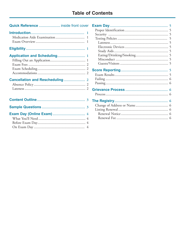# **Table of Contents**

| <b>Quick Reference  inside front cover</b> |              |  |
|--------------------------------------------|--------------|--|
|                                            | 1<br>1<br>-1 |  |
|                                            |              |  |
|                                            |              |  |
|                                            |              |  |
|                                            |              |  |
|                                            |              |  |
|                                            |              |  |
|                                            |              |  |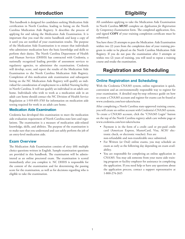# **Introduction**

This handbook is designed for candidates seeking Medication Aide certification in North Carolina, leading to listing on the North Carolina Medication Aide Registry. It describes the process of applying for and taking the Medication Aide Examination. It is important that you read the entire handbook and keep a copy of it until you are notified of your examination results. The purpose of the Medication Aide Examination is to ensure that individuals who administer medication have the basic knowledge and skills to perform their duties. The North Carolina Department of Health and Human Services (DHHS) has contracted with Credentia, a nationally recognized leading provider of assessment services to regulatory agencies, to administer the examination. Credentia will develop, score, and report the results of the Medication Aide Examination to the North Carolina Medication Aide Registry. Completion of this medication aide examination and subsequent listing on the NC Medication Aide Registry will qualify an individual for consideration of employment in a skilled Nursing facility in North Carolina. It will not qualify an individual in an adult care home. Individuals who wish to work as a medication aide in an adult care home should contact the NC Division of Health Service Regulation at 1-919-855-3765 for information on medication aide testing required for work in an adult care home.

# **Medication Aide Examination**

Credentia has developed this examination to meet the medication aide evaluation requirement of North Carolina state laws and regulations. The examination is a measure of medication aide-related knowledge, skills, and abilities. The purpose of the examination is to make sure that you understand and can safely perform the job of an entry-level medication aide.

## **Exam Overview**

The Medication Aide Examination consists of sixty (60) multiple choice questions written in English. Sample examination questions are provided in this handbook. The examination will be administered as an online proctored exam. The examination is scored immediately after you complete it. NC DHHS is responsible for the content of the examination and for determining the passing score for the examination, as well as for decisions regarding who is eligible to take the examination.

All candidates applying to take the Medication Aide Examination in North Carolina **MUST** complete an *Application for Registration by Competency Examination* form. The completed application, fees, and signed **COPY** of your training completion certificate must be submitted.

You have three (3) attempts to pass the Medication Aide Examination within two (2) years from the completion date of your training program in order to be placed on the North Carolina Medication Aide Registry. If you do not pass the examination after 3 attempts or within two (2) years of training, you will need to repeat a training course and retake the examination.

# **Registration and Scheduling**

# **Online Registration and Scheduling**

With the Credentia CNA365 system, online registration is quick, convenient and an environmentally responsible way to register for your examination. A detailed step-by-step reference guide on how to create a CNA365 account and register for exams can be found at www.credentia.com/test-takers/ncma

After completing a North Carolina state-approved training course, you will create an online account with Credentia's CNA365 system. To create a CNA365 account, click the "CNA365 Login" button on the top of the North Carolina registry adult care website page at www.credentia.com/test-takers/ncma

- Payment is in the form of a credit card or pre-paid credit card (American Express, MasterCard, Visa, ACH/ electronic check, or electronic voucher). Fees are non-refundable and non-transferable once submitted.
- For Written (or Oral) online exams, you may schedule an exam as early as the following day depending on exam availability.
- You are responsible for completing an online application in CNA365. You may ask someone from your nurse aide training program or facility employer for assistance in completing the application. If you need help or have any questions about the application process, contact a support representative at 1-800-274-2615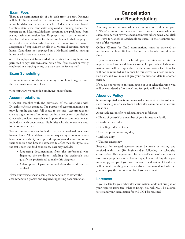## **Exam Fees**

There is an examination fee of \$59 each time you test. Payment will NOT be accepted at the test center. Examination fees are non-refundable and non-transferable. Under federal and North Carolina state laws, candidates employed in nursing homes that participate in Medicaid/Medicare programs are prohibited from paying their examination fees. Employers must pay the examination fee and any re-test fee for those candidates in their employ as nurse aides or candidates who have a written commitment or signed acceptance of employment on file in a Medicaid-certified nursing home. Candidates not employed in a Medicaid-certified nursing home or who have not received an

offer of employment from a Medicaid-certified nursing home are permitted to pay their own examination fee. If you are not currently employed in a nursing home, you may pay the fee yourself.

# **Exam Scheduling**

For more information about scheduling, or on how to register for the examination online, please

visit: http://www.credentia.com/nc/test-takers/ncma

# **Accommodations**

Credentia complies with the provisions of the Americans with Disabilities Act as amended. The purpose of accommodations is to provide candidates with full access to the test. Accommodations are not a guarantee of improved performance or test completion. Credentia provides reasonable and appropriate accommodations to individuals with documented disabilities who demonstrate a need for accommodations.

Test accommodations are individualized and considered on a caseby-case basis. All candidates who are requesting accommodations because of a disability must provide appropriate documentation of their condition and how it is expected to affect their ability to take the test under standard conditions. This may include:

- Supporting documentation from the professional who diagnosed the condition, including the credentials that qualify the professional to make this diagnosis
- A description of past accommodations the candidate has received

Please visit www.credentia.com/accommodations to review the accommodation process and required supporting documentation.

# **Cancellation and Rescheduling**

You may cancel or reschedule an examination online in your CNA365 account. For details on how to cancel or reschedule an examination, visit www.credentia.com/test-takers/ncma and click on "How to Cancel or Reschedule an Exam" in the Resources section of the webpage.

Online Written (or Oral) examinations must be canceled or rescheduled at least 48 hours before the scheduled examination time.

If you do not cancel or reschedule your examination within the required time frames and do not show up for your scheduled examination, you will be responsible for the examination fee. Your fee will not be refunded and cannot be transferred to a new examination date, and you may not give your examination date to another person.

If you do not report to an examination at your scheduled time, you will be considered a "no-show" and fees paid will be forfeited.

# **Absence Policy**

Since unexpected situations occasionally occur, Credentia will consider excusing an absence from a scheduled examination in certain situations.

Acceptable reasons for re-scheduling are as follows:

- Illness of yourself or a member of your immediate family
- Death in the family
- Disabling traffic accident
- Court appearance or jury duty
- Military duty
- Weather emergency

Requests for excused absences must be made in writing and received within ten (10) business days following the scheduled examination. This request must include verification of your absence from an appropriate source. For example, if you had jury duty, you must supply a copy of your court notice. The decision of Credentia will be final regarding whether an absence is excused and whether you must pay the examination fee if you are absent.

#### **Lateness**

If you are late for your scheduled examination, or do not bring all of your required items (see What to Bring), you will NOT be allowed to test and your examination fee will NOT be returned.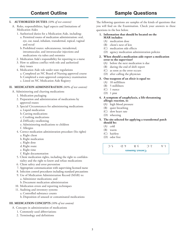# **Content Outline**

# **Sample Questions**

#### **I. AUTHORIZED DUTIES** *(10% of test content)*

- A. Roles, responsibilities, legal aspects and limitations of Medication Aides
	- 1. Authorized duties for a Medication Aide, including:
		- a. Permitted routes of medication administration: oral, eye, ear, nasal, inhalant, transdermal, topical, vaginal and rectal
		- b. Prohibited routes: subcutaneous, intradermal, intramuscular, and intravascular injections and medications via tubes and ostomies
	- 2. Medication Aide's responsibility for reporting to a nurse
	- 3. How to address conflict with role and authorized duty issues
	- 4. Medication Aide role under state regulations
		- a. Completed an NC Board of Nursing approved course
		- b.Completed a state-approved competency examination
		- c. Listed on NC Medication Aide Registry

#### **II. MEDICATION ADMINISTRATION** *(80% of test content)*

- A. Administering and charting medications
	- 1. Medication packaging
	- 2. Preparation and administration of medications by approved routes
	- 3. Special Circumstances for administering medications
		- a. Liquid medication
		- b.Cutting medications
		- c. Crushing medications
		- d.Difficulty swallowing
		- e. Administering medications to children
		- f. Allergies
	- 4. Correct medication administration procedure (Six rights) a. Right client
		- b. Right medication
		- c. Right dose
		- d.Right route
		- e. Right time
		- f. Right documentation
	- 5. Client medication rights, including the right to confidentiality and the right to know and refuse medications
	- 6. Client safety and error prevention
	- 7. Appropriate communication with supervising licensed nurse
	- 8. Infection control procedures including standard precautions
	- 9. Use of Medication Administration Record (MAR) to: a. Administer medications; and
		- b. Document medication administration
	- 10. Medication errors and reporting techniques
	- 11. Auditing and inventory systems
		- a. Controlled substance counts
		- b. Disposition of unused or contaminated medications

## **III. MEDICATION CONCEPTS** *(10% of test content)*

- A. Concepts in administration of medications
	- 1. Commonly used abbreviations
	- 2. Terminology and definitions

The following questions are samples of the kinds of questions that you will find on the Examination. Check your answers to these questions in the box below.

#### **1. Information that should be located on the MAR includes:**

- (A) medication dose
- (B) client's next of kin
- (C) medication side effects
- (D) agency medication administration policies

#### **2. When should a medication aide report a medication error to the supervisor?**

- **(**A) before the next medication is due
- (B) during the end of shift report
- (C) as soon as the error occurs
- (D) after calling the physician

#### **3. One teaspoon of an elixir is equal to:**

- (A) 10 milliliters
- (B) 5 milliliters
- (C) 1 ounce
- (D) 1 pint

#### **4. A symptom of anaphylaxis, a life-threatening allergic reaction, is:**

- **(**A) high blood pressure
- (B) quiet breathing
- (C) slow heart rate
- (D) wheezing
- **5. The site selected for applying a transdermal patch should be:**
	- (A) cold
	- (B) warm
	- (C) hairless
	- (D) odor free

**Correct Answers** FIRE 2. C 3. B 4. D 5. C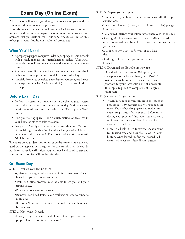# **Exam Day (Online Exam)**

A live proctor will monitor you through the webcam on your workstation to provide a secure exam experience.

Please visit www.credentia.com/online-exams for information on what to expect and how to best prepare for your online exam. We also recommend that you click on the "Policies & Procedures" link on this webpage to review detailed exam rules and procedures.

# **What You'll Need**

- A properly equipped computer, a desktop, laptop, or Chromebook with a single monitor (no smartphones or tablets). Visit www. credentia.com/online-exams to view or download system requirements.
- A private room if you don't have access to a private room, check with your training program or local library for availability.
- A mobile device to complete a 360 degree room scan, you'll need a smartphone or tablet (Apple or Android) that can download our free app.

# **Before Exam Day**

- Perform a system test make sure to do the required system test and exam simulation before exam day. Visit www.credentia.com/online-exams and select the "Run System Test" button.
- Find your testing space Find a quiet, distraction-free area in your home or office to take the exam.
- Get your ID ready You are required to bring two (2) forms of official, signature-bearing identification (one of which must be a photo identification). Photocopies of identification will NOT be accepted.

The name on your identification must be the same as the name you used on the application to register for the examination. If you do not have proper identification, you will not be allowed to test and your examination fee will not be refunded.

# **On Exam Day**

STEP 1: Prepare your testing space

- •Quiet: no background noise and inform members of your household you are taking an exam.
- •Well lit: Online proctors must be able to see you and your testing space.
- •Privacy: no one else in the room.
- •Remove Prohibited Items: clear workstation area to expedite room scan.
- •Restroom/Beverages: use restroom and prepare beverages before exam.
- STEP 2: Have your ID ready
	- •Have your government issued photo ID with you (see list or proper identification in section above).

STEP 3: Prepare your computer

- •Disconnect any additional monitors and close all other open applications.
- •Have your chargers (laptop, smart phone or tablet) plugged in or nearby.
- •Use a wired internet connection rather than WiFi, if possible.
- •If using WiFi, we recommend at least 3Mbps and ask that other household members do not use the internet during your exam.
- •Disconnect any VPNs or firewalls if you have them.
- •If taking an Oral Exam you must use a wired headset.

STEP 4: Download the ExamRoom 360 app

- Download the ExamRoom 360 app to your smartphone or tablet and have your CNA365 login credentials available (the user name and password for your Credentia CNA365 account). This app is required to complete a 360 degree room scan.
- STEP 5: Check-in for your exam
	- When To Check-In:you can begin the check in process up to 30 minutes prior to your appoint ment. Your onboarding agent will make sure everything is ready for your exam before intro ducing your proctor. Visit www.credentia.com/ online-exams to view or download detailed check-in procedures.
	- How To Check-In: go to www.credentia.com/ test-takers/ncma and click the "CNA365 login" button. Once logged in, find your scheduled exam and select the "Start Exam" button.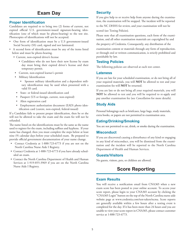# **Exam Day**

## **Proper Identification**

Candidates are required to to bring two (2) forms of current, not expired official U.S. government-issued signature-bearing identification (one of which must be photo-bearing) to the test site. Photocopies of identifications will not be accepted.

- One form of identification must be a U.S government-issued Social Security (SS) card, signed and not laminated.
- A second form of identification must be any of the items listed below and must be photo-bearing.
	- Current, non-expired driver's license
		- Candidates who do not have their new license by exam day must bring their expired driver's license and their temporary permit.
		- Current, non-expired learner's permit
	- Military Identification
		- Sponsor military identification and a dependent military identification may be used when presented with a valid SS card.
	- State- or federal-issued identification card
	- Passport (US or foreign, current, non-expired)
	- Alien registration card
	- Employment authorization document (EAD) photo identification card (curent, non-expired, federal-issued)

If a Candidate fails to present proper identification, then he or she will not be allowed to take the exam and the exam fee will not be refunded.

The name listed on the identifications must be the same as the name used to register for the exam, including suffixes and hyphens. If your name has changed, then you must complete the steps below at least nine (9) calendar days before your scheduled exam. Be prepared to provide official government documentation of your name change.

- Contact Credentia at 1-888-723-6773 if you are not on the North Carolina Nurse Aide I Registry.
- Contact Credentia at 1-888-723-6773 if you have already scheduled an exam.
- Contact the North Carolina Department of Health and Human Services at 1-919-855-3969 if you are on the North Carolina Nurse Aide I Registry.

## **Security**

If you give help to or receive help from anyone during the examination, the examination will be stopped. The incident will be reported

to the NC DHHS for review, and your examination will not be scored (see Testing Policies).

Please note that all examination questions, each form of the examination, and all other examination materials are copyrighted by and

the property of Credentia. Consequently, any distribution of the

examination content or materials through any form of reproduction, or through oral or written communication, is strictly prohibited and punishable by law.

## **Testing Policies**

The following policies are observed at each test center.

#### **Lateness**

If you are late for your scheduled examination, or do not bring all of your required materials, you will **NOT** be allowed to test and your examination fee will **NOT** be returned.

If you are late or do not bring all your required materials, you will **NOT** be allowed to test and you will be required to re-apply and pay another examination fee (see *Cancellation* for more details).

## **Study Aids**

Personal belongings such as briefcases, large bags, study materials, extra books, or papers are not permitted in examination area.

## **Eating/Drinking/Smoking**

You are not permitted to eat, drink, or smoke during the examination.

#### **Misconduct**

If you are discovered causing a disturbance of any kind or engaging in any kind of misconduct, you will be dismissed from the examination and the incident will be reported to the North Carolina Department of Health and Human Services.

#### **Guests/Visitors**

No guests, visitors, pets, or children are allowed.

# **Score Reporting**

#### **Exam Results**

You will receive a notification email from CNA365 when a new exam score has been posted to your online account. To access your score report, please login to your CNA365 account by clicking the "CNA365 Login" button on the top of the North Carolina nurse aide website page at www.credentia.com/test-takers/ncma. Score reports are generally available within a few hours after a testing event is completed for the day. If it has been more than 24 hours and you are unable to view your score report in CNA365, please contact customer service at 1-888-723-6773.